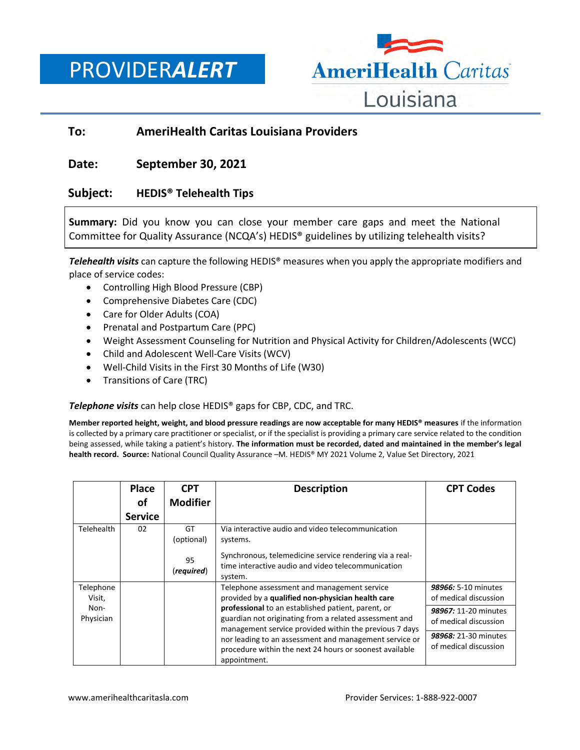PROVIDER*ALERT*



# **To: AmeriHealth Caritas Louisiana Providers**

### **Date: September 30, 2021**

# **Subject: HEDIS® Telehealth Tips**

**Summary:** Did you know you can close your member care gaps and meet the National Committee for Quality Assurance (NCQA's) HEDIS® guidelines by utilizing telehealth visits?

*Telehealth visits* can capture the following HEDIS® measures when you apply the appropriate modifiers and place of service codes:

- Controlling High Blood Pressure (CBP)
- Comprehensive Diabetes Care (CDC)
- Care for Older Adults (COA)
- Prenatal and Postpartum Care (PPC)
- Weight Assessment Counseling for Nutrition and Physical Activity for Children/Adolescents (WCC)
- Child and Adolescent Well-Care Visits (WCV)
- Well-Child Visits in the First 30 Months of Life (W30)
- Transitions of Care (TRC)

*Telephone visits* can help close HEDIS® gaps for CBP, CDC, and TRC.

**Member reported height, weight, and blood pressure readings are now acceptable for many HEDIS® measures** if the information is collected by a primary care practitioner or specialist, or if the specialist is providing a primary care service related to the condition being assessed, while taking a patient's history. **The information must be recorded, dated and maintained in the member's legal health record. Source:** National Council Quality Assurance –M. HEDIS® MY 2021 Volume 2, Value Set Directory, 2021

|                     | Place<br>оf    | <b>CPT</b><br><b>Modifier</b>        | <b>Description</b>                                                                                                                                                                                                                                                                                          | <b>CPT Codes</b>                              |
|---------------------|----------------|--------------------------------------|-------------------------------------------------------------------------------------------------------------------------------------------------------------------------------------------------------------------------------------------------------------------------------------------------------------|-----------------------------------------------|
|                     | <b>Service</b> |                                      |                                                                                                                                                                                                                                                                                                             |                                               |
| Telehealth          | 02             | GT<br>(optional)<br>95<br>(required) | Via interactive audio and video telecommunication<br>systems.<br>Synchronous, telemedicine service rendering via a real-<br>time interactive audio and video telecommunication<br>system.                                                                                                                   |                                               |
| Telephone<br>Visit, |                |                                      | Telephone assessment and management service<br>provided by a qualified non-physician health care                                                                                                                                                                                                            | 98966: 5-10 minutes<br>of medical discussion  |
| Non-<br>Physician   |                |                                      | professional to an established patient, parent, or<br>guardian not originating from a related assessment and<br>management service provided within the previous 7 days<br>nor leading to an assessment and management service or<br>procedure within the next 24 hours or soonest available<br>appointment. | 98967: 11-20 minutes<br>of medical discussion |
|                     |                |                                      |                                                                                                                                                                                                                                                                                                             | 98968: 21-30 minutes<br>of medical discussion |